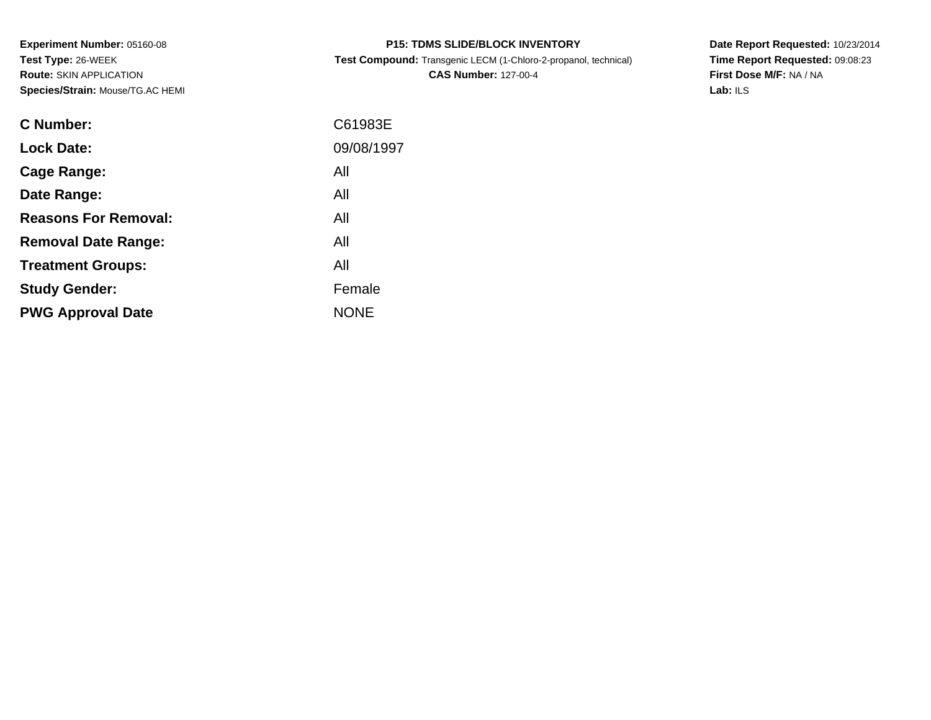**Experiment Number:** 05160-08**Test Type:** 26-WEEK **Route:** SKIN APPLICATION**Species/Strain:** Mouse/TG.AC HEMI

| <b>P15: TDMS SLIDE/BLOCK INVENTORY</b> |  |
|----------------------------------------|--|
|----------------------------------------|--|

**Test Compound:** Transgenic LECM (1-Chloro-2-propanol, technical)

**CAS Number:** 127-00-4

**Date Report Requested:** 10/23/2014 **Time Report Requested:** 09:08:23**First Dose M/F:** NA / NA**Lab:** ILS

| <b>C</b> Number:            | C61983E     |
|-----------------------------|-------------|
| <b>Lock Date:</b>           | 09/08/1997  |
| Cage Range:                 | All         |
| Date Range:                 | All         |
| <b>Reasons For Removal:</b> | All         |
| <b>Removal Date Range:</b>  | All         |
| <b>Treatment Groups:</b>    | All         |
| <b>Study Gender:</b>        | Female      |
| <b>PWG Approval Date</b>    | <b>NONE</b> |
|                             |             |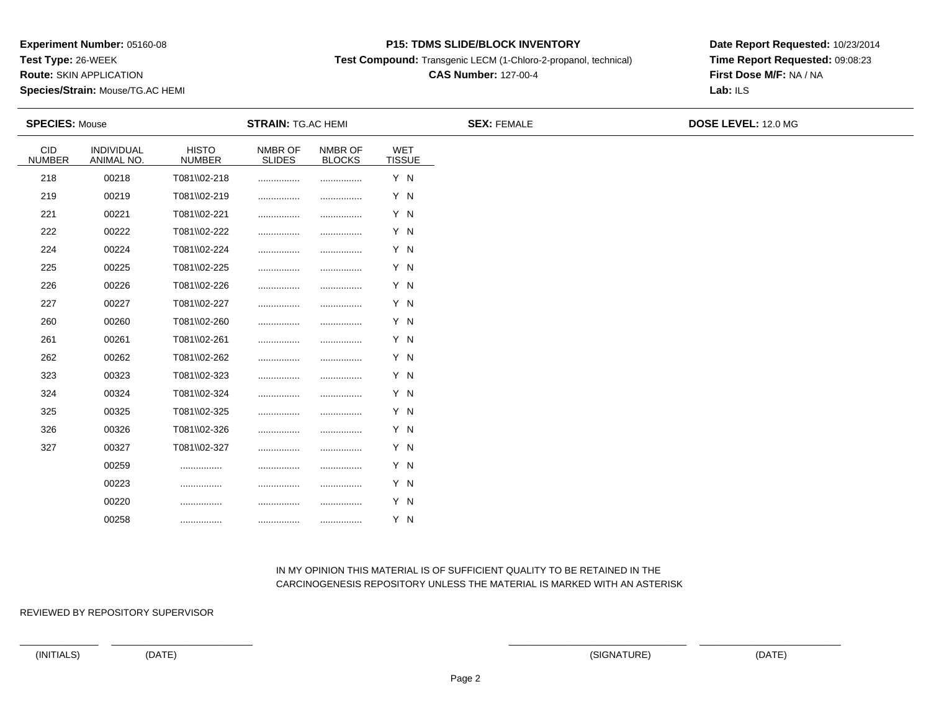**Test Type:** 26-WEEK

**Route:** SKIN APPLICATION

**Species/Strain:** Mouse/TG.AC HEMI

#### **P15: TDMS SLIDE/BLOCK INVENTORY**

**Test Compound:** Transgenic LECM (1-Chloro-2-propanol, technical)

# **CAS Number:** 127-00-4

**Date Report Requested:** 10/23/2014**Time Report Requested:** 09:08:23**First Dose M/F:** NA / NA**Lab:** ILS

|                             | <b>SPECIES: Mouse</b>    |                               | <b>STRAIN: TG.AC HEMI</b> |                          |                             | <b>SEX: FEMALE</b> | DOSE LEVEL: 12.0 MG |
|-----------------------------|--------------------------|-------------------------------|---------------------------|--------------------------|-----------------------------|--------------------|---------------------|
| <b>CID</b><br><b>NUMBER</b> | INDIVIDUAL<br>ANIMAL NO. | <b>HISTO</b><br><b>NUMBER</b> | NMBR OF<br><b>SLIDES</b>  | NMBR OF<br><b>BLOCKS</b> | <b>WET</b><br><b>TISSUE</b> |                    |                     |
| 218                         | 00218                    | T081\\02-218                  |                           |                          | Y N                         |                    |                     |
| 219                         | 00219                    | T081\\02-219                  |                           |                          | Y N                         |                    |                     |
| 221                         | 00221                    | T081\\02-221                  |                           |                          | Y N                         |                    |                     |
| 222                         | 00222                    | T081\\02-222                  |                           | .                        | Y N                         |                    |                     |
| 224                         | 00224                    | T081\\02-224                  |                           |                          | Y N                         |                    |                     |
| 225                         | 00225                    | T081\\02-225                  |                           | .                        | Y N                         |                    |                     |
| 226                         | 00226                    | T081\\02-226                  |                           |                          | Y N                         |                    |                     |
| 227                         | 00227                    | T081\\02-227                  |                           |                          | Y N                         |                    |                     |
| 260                         | 00260                    | T081\\02-260                  |                           |                          | Y N                         |                    |                     |
| 261                         | 00261                    | T081\\02-261                  |                           |                          | Y N                         |                    |                     |
| 262                         | 00262                    | T081\\02-262                  |                           |                          | Y N                         |                    |                     |
| 323                         | 00323                    | T081\\02-323                  |                           | .                        | Y N                         |                    |                     |
| 324                         | 00324                    | T081\\02-324                  |                           |                          | Y N                         |                    |                     |
| 325                         | 00325                    | T081\\02-325                  |                           |                          | Y N                         |                    |                     |
| 326                         | 00326                    | T081\\02-326                  |                           | .                        | Y N                         |                    |                     |
| 327                         | 00327                    | T081\\02-327                  |                           |                          | Y N                         |                    |                     |
|                             | 00259                    |                               |                           |                          | Y N                         |                    |                     |
|                             | 00223                    |                               |                           |                          | Y N                         |                    |                     |
|                             | 00220                    |                               |                           |                          | Y N                         |                    |                     |
|                             | 00258                    |                               |                           |                          | Y N                         |                    |                     |

### IN MY OPINION THIS MATERIAL IS OF SUFFICIENT QUALITY TO BE RETAINED IN THECARCINOGENESIS REPOSITORY UNLESS THE MATERIAL IS MARKED WITH AN ASTERISK

REVIEWED BY REPOSITORY SUPERVISOR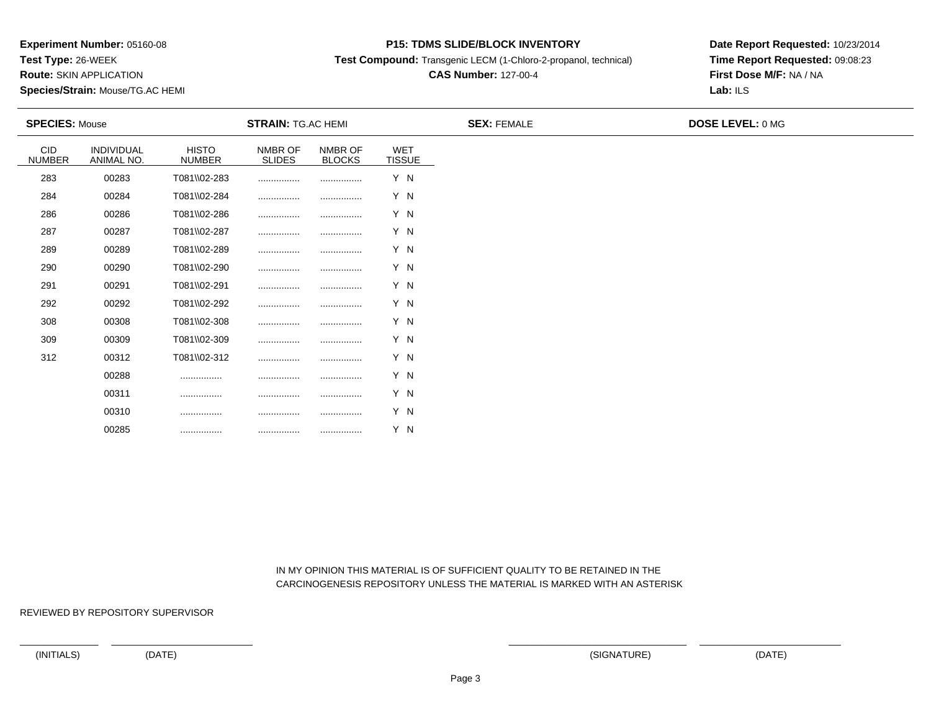**Test Type:** 26-WEEK

**Route:** SKIN APPLICATION

**Species/Strain:** Mouse/TG.AC HEMI

#### **P15: TDMS SLIDE/BLOCK INVENTORY**

**Test Compound:** Transgenic LECM (1-Chloro-2-propanol, technical)

# **CAS Number:** 127-00-4

**Date Report Requested:** 10/23/2014**Time Report Requested:** 09:08:23**First Dose M/F:** NA / NA**Lab:** ILS

|                             | <b>SPECIES: Mouse</b><br><b>STRAIN: TG.AC HEMI</b> |                               |                          |                          | <b>SEX: FEMALE</b>   | <b>DOSE LEVEL: 0 MG</b> |  |  |
|-----------------------------|----------------------------------------------------|-------------------------------|--------------------------|--------------------------|----------------------|-------------------------|--|--|
| <b>CID</b><br><b>NUMBER</b> | INDIVIDUAL<br>ANIMAL NO.                           | <b>HISTO</b><br><b>NUMBER</b> | NMBR OF<br><b>SLIDES</b> | NMBR OF<br><b>BLOCKS</b> | WET<br><b>TISSUE</b> |                         |  |  |
| 283                         | 00283                                              | T081\\02-283                  |                          |                          | Y N                  |                         |  |  |
| 284                         | 00284                                              | T081\\02-284                  |                          |                          | Y N                  |                         |  |  |
| 286                         | 00286                                              | T081\\02-286                  |                          |                          | Y N                  |                         |  |  |
| 287                         | 00287                                              | T081\\02-287                  |                          |                          | Y N                  |                         |  |  |
| 289                         | 00289                                              | T081\\02-289                  |                          |                          | Y N                  |                         |  |  |
| 290                         | 00290                                              | T081\\02-290                  |                          |                          | Y N                  |                         |  |  |
| 291                         | 00291                                              | T081\\02-291                  |                          |                          | Y N                  |                         |  |  |
| 292                         | 00292                                              | T081\\02-292                  |                          |                          | Y N                  |                         |  |  |
| 308                         | 00308                                              | T081\\02-308                  |                          |                          | Y N                  |                         |  |  |
| 309                         | 00309                                              | T081\\02-309                  |                          |                          | Y N                  |                         |  |  |
| 312                         | 00312                                              | T081\\02-312                  |                          |                          | Y N                  |                         |  |  |
|                             | 00288                                              |                               |                          |                          | Y N                  |                         |  |  |
|                             | 00311                                              |                               |                          |                          | Y N                  |                         |  |  |
|                             | 00310                                              |                               |                          |                          | Y N                  |                         |  |  |

 IN MY OPINION THIS MATERIAL IS OF SUFFICIENT QUALITY TO BE RETAINED IN THECARCINOGENESIS REPOSITORY UNLESS THE MATERIAL IS MARKED WITH AN ASTERISK

REVIEWED BY REPOSITORY SUPERVISOR

00285

\_\_\_\_\_\_\_\_\_\_\_\_\_\_\_ \_\_\_\_\_\_\_\_\_\_\_\_\_\_\_\_\_\_\_\_\_\_\_\_\_\_\_ \_\_\_\_\_\_\_\_\_\_\_\_\_\_\_\_\_\_\_\_\_\_\_\_\_\_\_\_\_\_\_\_\_\_ \_\_\_\_\_\_\_\_\_\_\_\_\_\_\_\_\_\_\_\_\_\_\_\_\_\_\_

................ ................ ................ Y N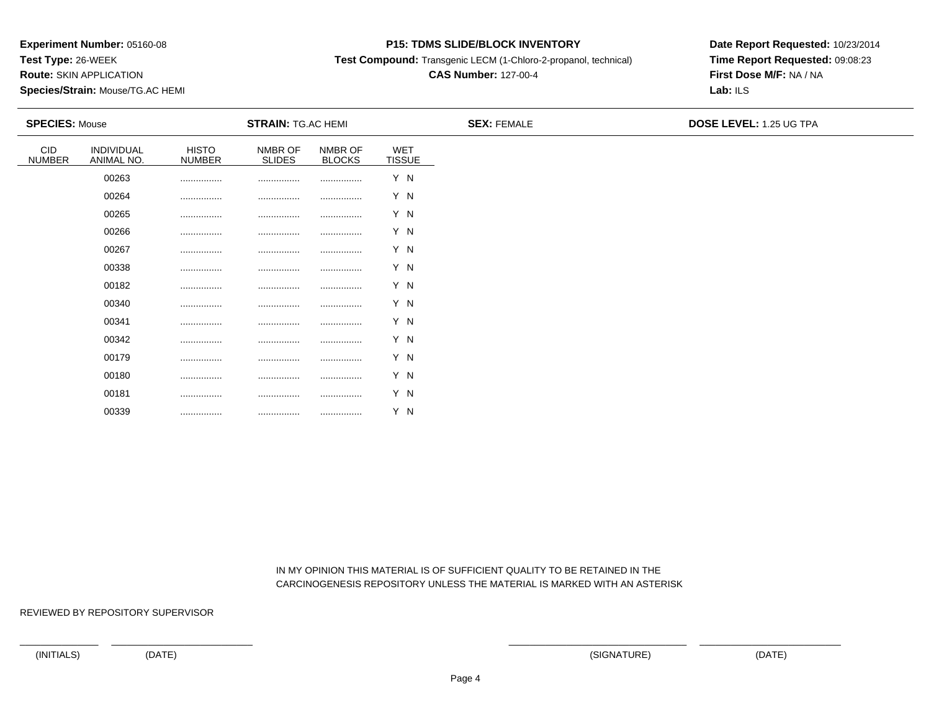**Test Type:** 26-WEEK

**Route:** SKIN APPLICATION

**Species/Strain:** Mouse/TG.AC HEMI

#### **P15: TDMS SLIDE/BLOCK INVENTORY**

**Test Compound:** Transgenic LECM (1-Chloro-2-propanol, technical)

# **CAS Number:** 127-00-4

**Date Report Requested:** 10/23/2014**Time Report Requested:** 09:08:23**First Dose M/F:** NA / NA**Lab:** ILS

| <b>SPECIES: Mouse</b> |                          |                               | <b>STRAIN: TG.AC HEMI</b> |                          |                      | <b>SEX: FEMALE</b> | <b>DOSE LEVEL: 1.25 UG TPA</b> |
|-----------------------|--------------------------|-------------------------------|---------------------------|--------------------------|----------------------|--------------------|--------------------------------|
| CID<br><b>NUMBER</b>  | INDIVIDUAL<br>ANIMAL NO. | <b>HISTO</b><br><b>NUMBER</b> | NMBR OF<br><b>SLIDES</b>  | NMBR OF<br><b>BLOCKS</b> | WET<br><b>TISSUE</b> |                    |                                |
|                       | 00263                    |                               |                           | .                        | Y N                  |                    |                                |
|                       | 00264                    |                               |                           |                          | Y N                  |                    |                                |
|                       | 00265                    |                               |                           |                          | Y N                  |                    |                                |
|                       | 00266                    |                               |                           | .                        | Y N                  |                    |                                |
|                       | 00267                    |                               |                           | .                        | Y N                  |                    |                                |
|                       | 00338                    |                               |                           |                          | Y N                  |                    |                                |
|                       | 00182                    |                               |                           |                          | Y N                  |                    |                                |
|                       | 00340                    |                               |                           |                          | Y N                  |                    |                                |
|                       | 00341                    |                               |                           | .                        | Y N                  |                    |                                |
|                       | 00342                    |                               |                           |                          | Y N                  |                    |                                |
|                       | 00179                    |                               |                           |                          | Y N                  |                    |                                |
|                       | 00180                    |                               |                           |                          | Y N                  |                    |                                |
|                       | 00181                    |                               |                           |                          | Y N                  |                    |                                |
|                       | 00339                    |                               |                           |                          | Y N                  |                    |                                |

 IN MY OPINION THIS MATERIAL IS OF SUFFICIENT QUALITY TO BE RETAINED IN THECARCINOGENESIS REPOSITORY UNLESS THE MATERIAL IS MARKED WITH AN ASTERISK

REVIEWED BY REPOSITORY SUPERVISOR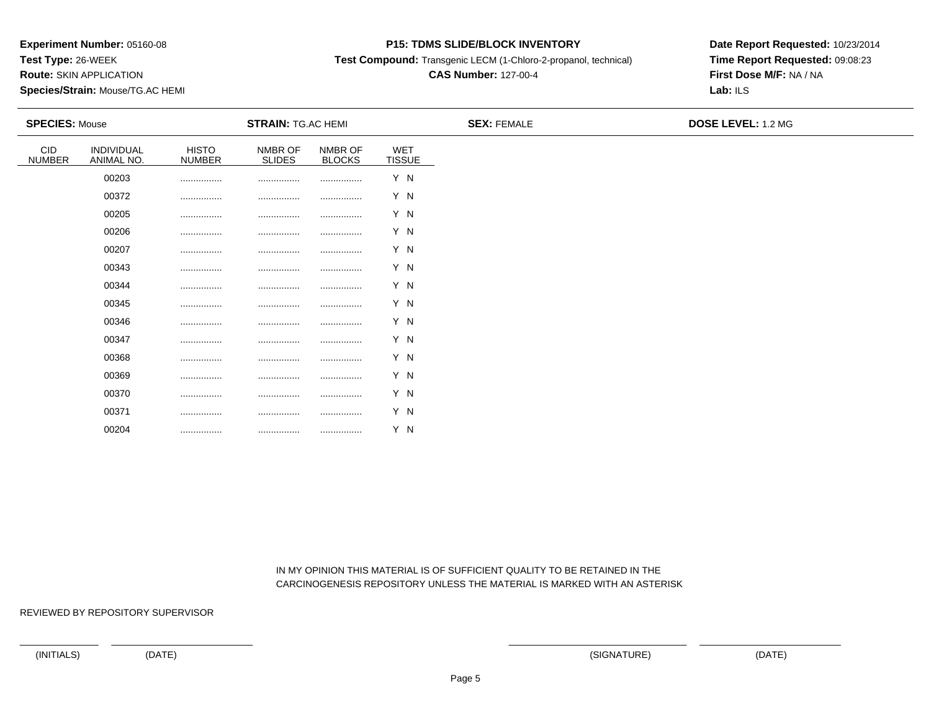**Test Type:** 26-WEEK

**Route:** SKIN APPLICATION

**Species/Strain:** Mouse/TG.AC HEMI

#### **P15: TDMS SLIDE/BLOCK INVENTORY**

**Test Compound:** Transgenic LECM (1-Chloro-2-propanol, technical)

# **CAS Number:** 127-00-4

**Date Report Requested:** 10/23/2014**Time Report Requested:** 09:08:23**First Dose M/F:** NA / NA**Lab:** ILS

| <b>SPECIES: Mouse</b> |                          |                               | <b>STRAIN: TG.AC HEMI</b> |                          |                      | <b>SEX: FEMALE</b> | DOSE LEVEL: 1.2 MG |  |
|-----------------------|--------------------------|-------------------------------|---------------------------|--------------------------|----------------------|--------------------|--------------------|--|
| CID<br><b>NUMBER</b>  | INDIVIDUAL<br>ANIMAL NO. | <b>HISTO</b><br><b>NUMBER</b> | NMBR OF<br><b>SLIDES</b>  | NMBR OF<br><b>BLOCKS</b> | WET<br><b>TISSUE</b> |                    |                    |  |
|                       | 00203                    |                               |                           |                          | Y N                  |                    |                    |  |
|                       | 00372                    |                               |                           |                          | Y N                  |                    |                    |  |
|                       | 00205                    |                               |                           |                          | Y N                  |                    |                    |  |
|                       | 00206                    |                               |                           |                          | Y N                  |                    |                    |  |
|                       | 00207                    |                               |                           |                          | Y N                  |                    |                    |  |
|                       | 00343                    |                               |                           |                          | Y N                  |                    |                    |  |
|                       | 00344                    |                               |                           |                          | Y N                  |                    |                    |  |
|                       | 00345                    |                               |                           |                          | Y N                  |                    |                    |  |
|                       | 00346                    |                               |                           |                          | Y N                  |                    |                    |  |
|                       | 00347                    |                               |                           |                          | Y N                  |                    |                    |  |
|                       | 00368                    |                               |                           |                          | Y N                  |                    |                    |  |
|                       | 00369                    |                               |                           |                          | Y N                  |                    |                    |  |
|                       | 00370                    |                               |                           |                          | Y N                  |                    |                    |  |
|                       | 00371                    |                               |                           |                          | Y N                  |                    |                    |  |
|                       | 00204                    |                               |                           | .                        | Y N                  |                    |                    |  |

 IN MY OPINION THIS MATERIAL IS OF SUFFICIENT QUALITY TO BE RETAINED IN THECARCINOGENESIS REPOSITORY UNLESS THE MATERIAL IS MARKED WITH AN ASTERISK

REVIEWED BY REPOSITORY SUPERVISOR